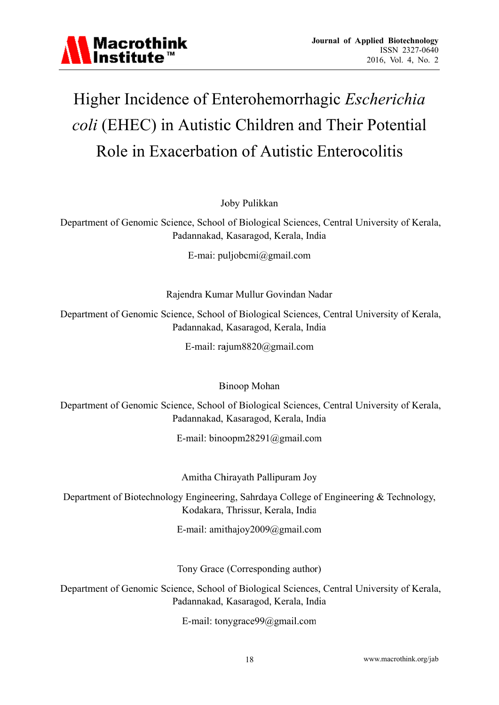

# Higher Incidence of Enterohemorrhagic *Escherichia* coli (EHEC) in Autistic Children and Their Potential Role in Exacerbation of Autistic Enterocolitis **Journal of Applied Biote**<br>
ISSN 2<br>
2016, Vol.<br> **Anagic Escherice**<br> **Commod Their Poten<br>
Commod Their Poten**<br> **Commod Their Poten**<br> **Commod Their Poten**<br> **Commod Set Contral University of India**<br> **Commod Set Commod Set Com**

Joby Pulikkan

Department of Genomic Science, School of Biological Sciences, Central University of Kerala, Padannakad, Kasaragod, Kerala, India

E-mai: puljobcmi@gmail.com

Rajendra Kumar Mullur Govindan Nadar

Department of Genomic Science, School of Biological Sciences, Central University of Kerala, Padannakad, Kasaragod, Kerala, India

E-mail: rajum8820@gmail.com

B Binoop Moh an

Department of Genomic Science, School of Biological Sciences, Central University of Kerala, Padannakad, Kasaragod, Kerala, India

E-mail: binoopm28291@gmail.com

Amitha Chirayath Pallipuram Joy

E-mail: binoopm28291@gmail.com<br>
Amitha Chirayath Pallipuram Joy<br>
Department of Biotechnology Engineering, Sahrdaya College of Engineering & Technology, Kodakara, Thrissur, K Kerala, India

Kodakara, Thrissur, Kerala, India<br>E-mail: amithajoy2009@gmail.com

Tony Grace (Corresponding author)

Department of Genomic Science, School of Biological Sciences, Central University of Kerala, Padannakad, Kasaragod, Kerala, India

E-mail: tonygrace99@gmail.com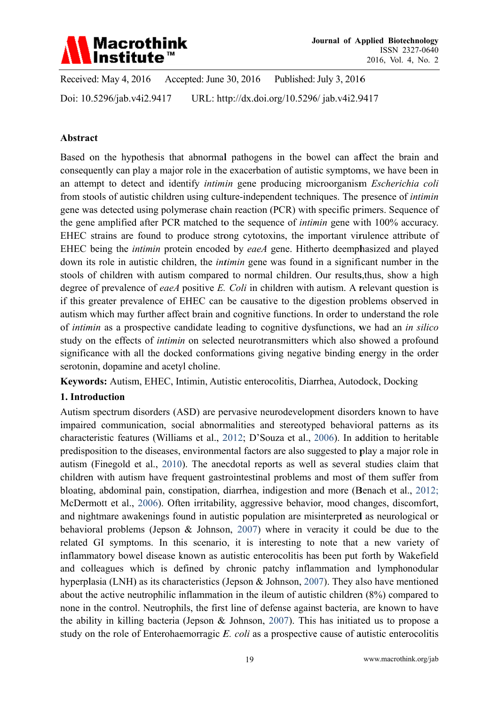

Received: May 4, 2016 Accepted: June 30, 2016 Published: July 3, 2016 Doi: 10.5296/iab.y4i2.9417 URL: http://dx.doi.org/10.5296/jab.y4i2.9417

#### Abstract

Based on the hypothesis that abnormal pathogens in the bowel can affect the brain and consequently can play a major role in the exacerbation of autistic symptoms, we have been in an attempt to detect and identify *intimin* gene producing microorganism *Escherichia coli* from stools of autistic children using culture-independent techniques. The presence of *intimin* gene was detected using polymerase chain reaction (PCR) with specific primers. Sequence of the gene amplified after PCR matched to the sequence of *intimin* gene with 100% accuracy. EHEC strains are found to produce strong cytotoxins, the important virulence attribute of EHEC being the *intimin* protein encoded by *eaeA* gene. Hitherto deemphasized and played down its role in autistic children, the *intimin* gene was found in a significant number in the stools of children with autism compared to normal children. Our results, thus, show a high degree of prevalence of *eaeA* positive  $E$ . Coli in children with autism. A relevant question is if this greater prevalence of EHEC can be causative to the digestion problems observed in autism which may further affect brain and cognitive functions. In order to understand the role of *intimin* as a prospective candidate leading to cognitive dysfunctions, we had an *in silico* study on the effects of *intimin* on selected neurotransmitters which also showed a profound significance with all the docked conformations giving negative binding energy in the order serotonin, dopamine and acetyl choline.

Keywords: Autism, EHEC, Intimin, Autistic enterocolitis, Diarrhea, Autodock, Docking

#### 1. Introduction

Autism spectrum disorders (ASD) are pervasive neurodevelopment disorders known to have impaired communication, social abnormalities and stereotyped behavioral patterns as its characteristic features (Williams et al., 2012; D'Souza et al., 2006). In addition to heritable predisposition to the diseases, environmental factors are also suggested to play a major role in autism (Finegold et al., 2010). The anecdotal reports as well as several studies claim that children with autism have frequent gastrointestinal problems and most of them suffer from bloating, abdominal pain, constipation, diarrhea, indigestion and more (Benach et al., 2012; McDermott et al., 2006). Often irritability, aggressive behavior, mood changes, discomfort, and nightmare awakenings found in autistic population are misinterpreted as neurological or behavioral problems (Jepson & Johnson, 2007) where in veracity it could be due to the related GI symptoms. In this scenario, it is interesting to note that a new variety of inflammatory bowel disease known as autistic enterocolitis has been put forth by Wakefield and colleagues which is defined by chronic patchy inflammation and lymphonodular hyperplasia (LNH) as its characteristics (Jepson & Johnson, 2007). They also have mentioned about the active neutrophilic inflammation in the ileum of autistic children (8%) compared to none in the control. Neutrophils, the first line of defense against bacteria, are known to have the ability in killing bacteria (Jepson & Johnson, 2007). This has initiated us to propose a study on the role of Enterohaemorragic E. coli as a prospective cause of autistic enterocolitis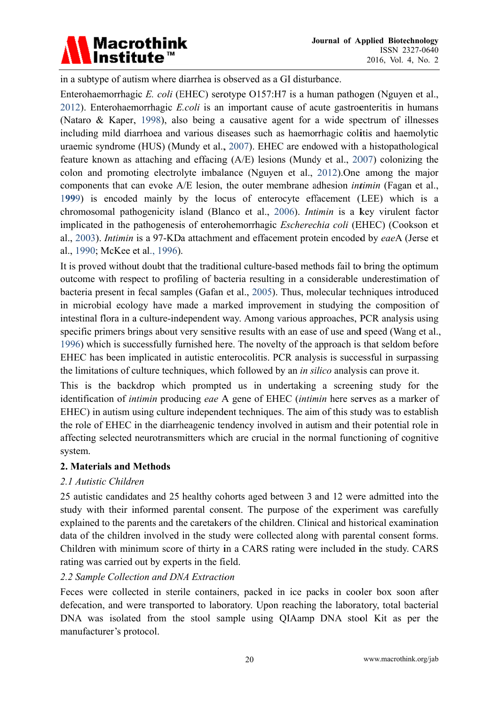

in a subtype of autism where diarrhea is observed as a GI disturbance.

Enterohaemorrhagic E. coli (EHEC) serotype O157:H7 is a human pathogen (Nguyen et al., 2012). Enterohaemorrhagic *E.coli* is an important cause of acute gastroenteritis in humans (Nataro & Kaper, 1998), also being a causative agent for a wide spectrum of illnesses including mild diarrhoea and various diseases such as haemorrhagic colitis and haemolytic uraemic syndrome (HUS) (Mundy et al., 2007). EHEC are endowed with a histopathological feature known as attaching and effacing (A/E) lesions (Mundy et al., 2007) colonizing the colon and promoting electrolyte imbalance (Nguyen et al., 2012). One among the major components that can evoke A/E lesion, the outer membrane adhesion *intimin* (Fagan et al., 1999) is encoded mainly by the locus of enterocyte effacement (LEE) which is a chromosomal pathogenicity island (Blanco et al., 2006). *Intimin* is a key virulent factor implicated in the pathogenesis of enterohemorrhagic *Escherechia coli* (EHEC) (Cookson et al., 2003). *Intimin* is a 97-KDa attachment and effacement protein encoded by eaeA (Jerse et al., 1990; McKee et al., 1996).

It is proved without doubt that the traditional culture-based methods fail to bring the optimum outcome with respect to profiling of bacteria resulting in a considerable underestimation of bacteria present in fecal samples (Gafan et al., 2005). Thus, molecular techniques introduced in microbial ecology have made a marked improvement in studying the composition of intestinal flora in a culture-independent way. Among various approaches, PCR analysis using specific primers brings about very sensitive results with an ease of use and speed (Wang et al., 1996) which is successfully furnished here. The novelty of the approach is that seldom before EHEC has been implicated in autistic enterocolitis. PCR analysis is successful in surpassing the limitations of culture techniques, which followed by an *in silico* analysis can prove it.

This is the backdrop which prompted us in undertaking a screening study for the identification of *intimin* producing eae A gene of EHEC *(intimin* here serves as a marker of EHEC) in autism using culture independent techniques. The aim of this study was to establish the role of EHEC in the diarrheagenic tendency involved in autism and their potential role in affecting selected neurotransmitters which are crucial in the normal functioning of cognitive system.

#### 2. Materials and Methods

# 2.1 Autistic Children

25 autistic candidates and 25 healthy cohorts aged between 3 and 12 were admitted into the study with their informed parental consent. The purpose of the experiment was carefully explained to the parents and the caretakers of the children. Clinical and historical examination data of the children involved in the study were collected along with parental consent forms. Children with minimum score of thirty in a CARS rating were included in the study. CARS rating was carried out by experts in the field.

#### 2.2 Sample Collection and DNA Extraction

Feces were collected in sterile containers, packed in ice packs in cooler box soon after defecation, and were transported to laboratory. Upon reaching the laboratory, total bacterial DNA was isolated from the stool sample using OIAamp DNA stool Kit as per the manufacturer's protocol.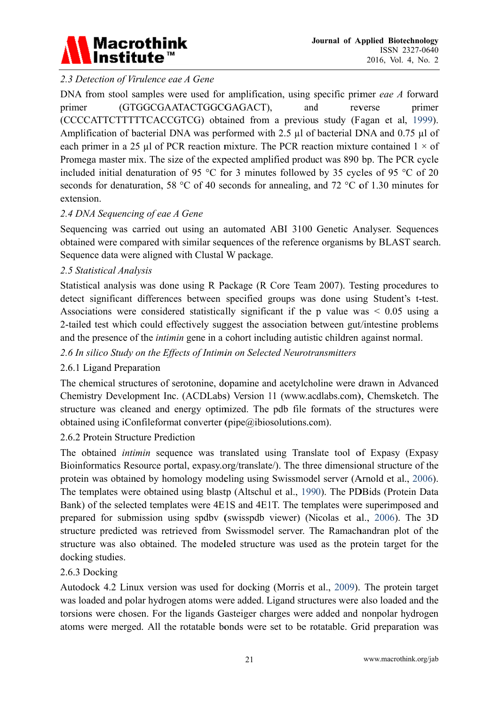

# 2.3 Detection of Virulence eae A Gene

DNA from stool samples were used for amplification, using specific primer eae A forward primer (GTGGCGAATACTGGCGAGACT), and reverse primer (CCCCATTCTTTTCACCGTCG) obtained from a previous study (Fagan et al. 1999). Amplification of bacterial DNA was performed with 2.5 µl of bacterial DNA and 0.75 µl of each primer in a 25 µl of PCR reaction mixture. The PCR reaction mixture contained  $1 \times$  of Promega master mix. The size of the expected amplified product was 890 bp. The PCR cycle included initial denaturation of 95 °C for 3 minutes followed by 35 cycles of 95 °C of 20 seconds for denaturation, 58 °C of 40 seconds for annealing, and 72 °C of 1.30 minutes for extension.

#### 2.4 DNA Sequencing of eae A Gene

Sequencing was carried out using an automated ABI 3100 Genetic Analyser. Sequences obtained were compared with similar sequences of the reference organisms by BLAST search. Sequence data were aligned with Clustal W package.

#### 2.5 Statistical Analysis

Statistical analysis was done using R Package (R Core Team 2007). Testing procedures to detect significant differences between specified groups was done using Student's t-test. Associations were considered statistically significant if the p value was  $\leq 0.05$  using a 2-tailed test which could effectively suggest the association between gut/intestine problems and the presence of the *intimin* gene in a cohort including autistic children against normal.

#### 2.6 In silico Study on the Effects of Intimin on Selected Neurotransmitters

#### 2.6.1 Ligand Preparation

The chemical structures of serotonine, dopamine and acetylcholine were drawn in Advanced Chemistry Development Inc. (ACDLabs) Version 11 (www.acdlabs.com), Chemsketch. The structure was cleaned and energy optimized. The pdb file formats of the structures were obtained using iConfileformat converter ( $pipe@i$ biosolutions.com).

#### 2.6.2 Protein Structure Prediction

The obtained *intimin* sequence was translated using Translate tool of Expasy (Expasy Bioinformatics Resource portal, expasy.org/translate/). The three dimensional structure of the protein was obtained by homology modeling using Swissmodel server (Arnold et al., 2006). The templates were obtained using blastp (Altschul et al., 1990). The PDBids (Protein Data Bank) of the selected templates were 4E1S and 4E1T. The templates were superimposed and prepared for submission using spdby (swisspdb viewer) (Nicolas et al., 2006). The 3D structure predicted was retrieved from Swissmodel server. The Ramachandran plot of the structure was also obtained. The modeled structure was used as the protein target for the docking studies.

#### 2.6.3 Docking

Autodock 4.2 Linux version was used for docking (Morris et al., 2009). The protein target was loaded and polar hydrogen atoms were added. Ligand structures were also loaded and the torsions were chosen. For the ligands Gasteiger charges were added and nonpolar hydrogen atoms were merged. All the rotatable bonds were set to be rotatable. Grid preparation was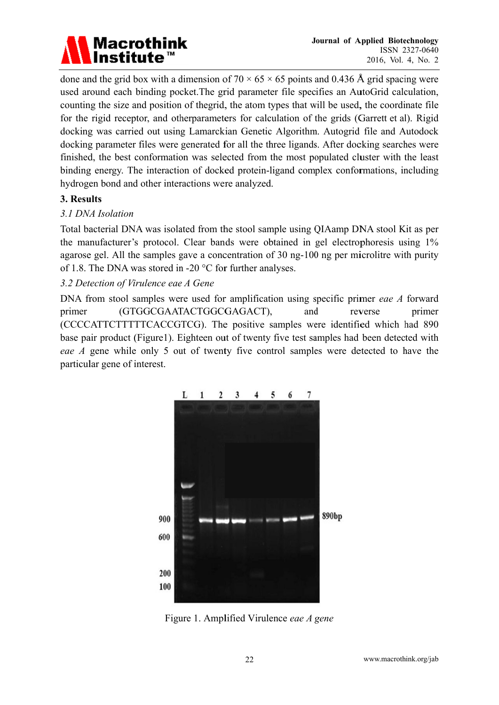

done and the grid box with a dimension of 70  $\times$  65  $\times$  65 points and 0.436 Å grid spacing were used around each binding pocket. The grid parameter file specifies an AutoGrid calculation, counting the size and position of the grid, the atom types that will be used, the coordinate file for the rigid receptor, and otherparameters for calculation of the grids (Garrett et al). Rigid docking was carried out using Lamarckian Genetic Algorithm. Autogrid file and Autodock docking parameter files were generated for all the three ligands. After docking searches were finished, the best conformation was selected from the most populated cluster with the least binding energy. The interaction of docked protein-ligand complex conformations, including hydrogen bond and other interactions were analyzed.

#### 3. Results

#### 3.1 DNA Isolation

Total bacterial DNA was isolated from the stool sample using QIA amp DNA stool Kit as per the manufacturer's protocol. Clear bands were obtained in gel electrophoresis using 1% agarose gel. All the samples gave a concentration of 30 ng-100 ng per microlitre with purity of 1.8. The DNA was stored in -20  $^{\circ}$ C for further analyses.

## 3.2 Detection of Virulence eae A Gene

DNA from stool samples were used for amplification using specific primer eae A forward (GTGGCGAATACTGGCGAGACT), and reverse primer primer (CCCCATTCTTTTCACCGTCG). The positive samples were identified which had 890 base pair product (Figure1). Eighteen out of twenty five test samples had been detected with *eae A* gene while only 5 out of twenty five control samples were detected to have the particular gene of interest.



Figure 1. Amplified Virulence eae A gene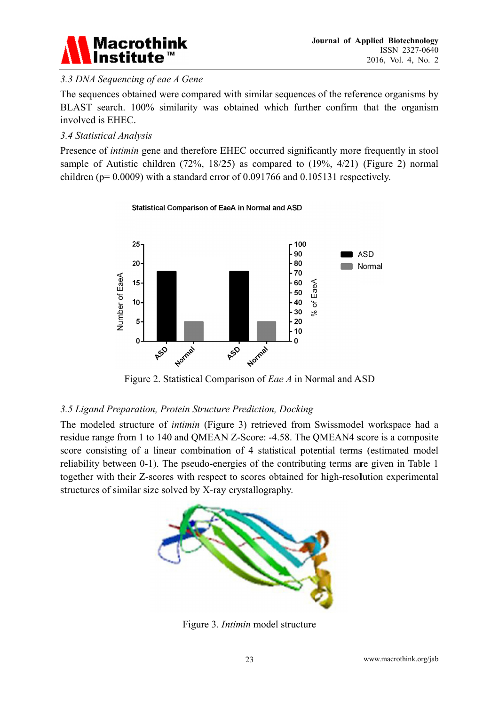

# 3.3 DNA Sequencing of eae A Gene

The sequences obtained were compared with similar sequences of the reference organisms by BLAST search. 100% similarity was obtained which further confirm that the organism involved is EHEC.

## 3.4 Statistical Analysis

Presence of *intimin* gene and therefore EHEC occurred significantly more frequently in stool sample of Autistic children  $(72\%, 18/25)$  as compared to  $(19\%, 4/21)$  (Figure 2) normal children ( $p=0.0009$ ) with a standard error of 0.091766 and 0.105131 respectively.

#### Statistical Comparison of EaeA in Normal and ASD



Figure 2. Statistical Comparison of Eae A in Normal and ASD

#### 3.5 Ligand Preparation, Protein Structure Prediction, Docking

The modeled structure of *intimin* (Figure 3) retrieved from Swissmodel workspace had a residue range from 1 to 140 and OMEAN Z-Score: -4.58. The OMEAN4 score is a composite score consisting of a linear combination of 4 statistical potential terms (estimated model) reliability between 0-1). The pseudo-energies of the contributing terms are given in Table 1 together with their Z-scores with respect to scores obtained for high-resolution experimental structures of similar size solved by X-ray crystallography.



Figure 3. *Intimin* model structure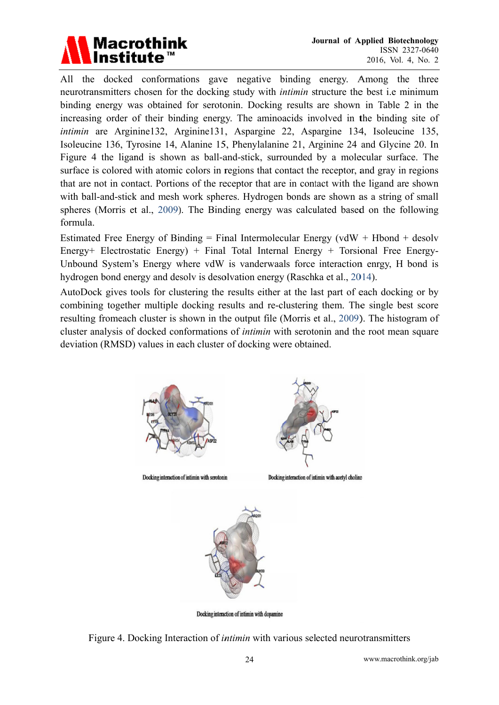

All the docked conformations gave negative binding energy. Among the three neurotransmitters chosen for the docking study with *intimin* structure the best *i.e minimum* binding energy was obtained for serotonin. Docking results are shown in Table 2 in the increasing order of their binding energy. The aminoacids involved in the binding site of intimin are Arginine132, Arginine131, Aspargine 22, Aspargine 134, Isoleucine 135, Isoleucine 136, Tyrosine 14, Alanine 15, Phenylalanine 21, Arginine 24 and Glycine 20. In Figure 4 the ligand is shown as ball-and-stick, surrounded by a molecular surface. The surface is colored with atomic colors in regions that contact the receptor, and gray in regions that are not in contact. Portions of the receptor that are in contact with the ligand are shown with ball-and-stick and mesh work spheres. Hydrogen bonds are shown as a string of small spheres (Morris et al., 2009). The Binding energy was calculated based on the following formula.

Estimated Free Energy of Binding = Final Intermolecular Energy ( $vdW + Hbond + desolv$ Energy+ Electrostatic Energy) + Final Total Internal Energy + Torsional Free Energy-Unbound System's Energy where vdW is vanderwaals force interaction enrgy, H bond is hydrogen bond energy and desolv is desolvation energy (Raschka et al., 2014).

AutoDock gives tools for clustering the results either at the last part of each docking or by combining together multiple docking results and re-clustering them. The single best score resulting from each cluster is shown in the output file (Morris et al., 2009). The histogram of cluster analysis of docked conformations of *intimin* with serotonin and the root mean square deviation (RMSD) values in each cluster of docking were obtained.



Docking interaction of intimin with serotonin



Docking interaction of intimin with acetyl choline



Docking interaction of intimin with dopamine

Figure 4. Docking Interaction of *intimin* with various selected neurotransmitters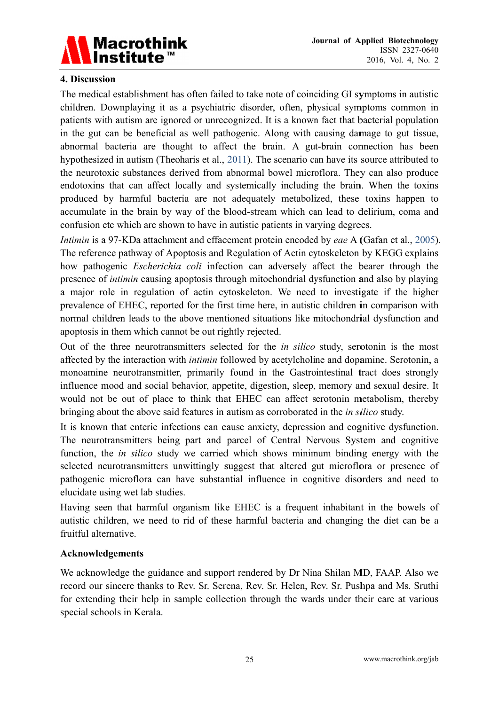

#### 4. Discussion

The medical establishment has often failed to take note of coinciding GI symptoms in autistic children. Downplaying it as a psychiatric disorder, often, physical symptoms common in patients with autism are ignored or unrecognized. It is a known fact that bacterial population in the gut can be beneficial as well pathogenic. Along with causing damage to gut tissue, abnormal bacteria are thought to affect the brain. A gut-brain connection has been hypothesized in autism (Theoharis et al., 2011). The scenario can have its source attributed to the neurotoxic substances derived from abnormal bowel microflora. They can also produce endotoxins that can affect locally and systemically including the brain. When the toxins produced by harmful bacteria are not adequately metabolized, these toxins happen to accumulate in the brain by way of the blood-stream which can lead to delirium, coma and confusion etc which are shown to have in autistic patients in varying degrees.

*Intimin* is a 97-KDa attachment and effacement protein encoded by eae A (Gafan et al., 2005). The reference pathway of Apoptosis and Regulation of Actin cytoskeleton by KEGG explains how pathogenic *Escherichia coli* infection can adversely affect the bearer through the presence of *intimin* causing apoptosis through mitochondrial dysfunction and also by playing a major role in regulation of actin cytoskeleton. We need to investigate if the higher prevalence of EHEC, reported for the first time here, in autistic children in comparison with normal children leads to the above mentioned situations like mitochondrial dysfunction and apoptosis in them which cannot be out rightly rejected.

Out of the three neurotransmitters selected for the *in silico* study, serotonin is the most affected by the interaction with *intimin* followed by acetylcholine and dopamine. Serotonin, a monoamine neurotransmitter, primarily found in the Gastrointestinal tract does strongly influence mood and social behavior, appetite, digestion, sleep, memory and sexual desire. It would not be out of place to think that EHEC can affect serotonin metabolism, thereby bringing about the above said features in autism as corroborated in the *in silico* study.

It is known that enteric infections can cause anxiety, depression and cognitive dysfunction. The neurotransmitters being part and parcel of Central Nervous System and cognitive function, the *in silico* study we carried which shows minimum binding energy with the selected neurotransmitters unwittingly suggest that altered gut microflora or presence of pathogenic microflora can have substantial influence in cognitive disorders and need to elucidate using wet lab studies.

Having seen that harmful organism like EHEC is a frequent inhabitant in the bowels of autistic children, we need to rid of these harmful bacteria and changing the diet can be a fruitful alternative.

#### Acknowledgements

We acknowledge the guidance and support rendered by Dr Nina Shilan MD, FAAP, Also we record our sincere thanks to Rev. Sr. Serena, Rev. Sr. Helen, Rev. Sr. Pushpa and Ms. Sruthi for extending their help in sample collection through the wards under their care at various special schools in Kerala.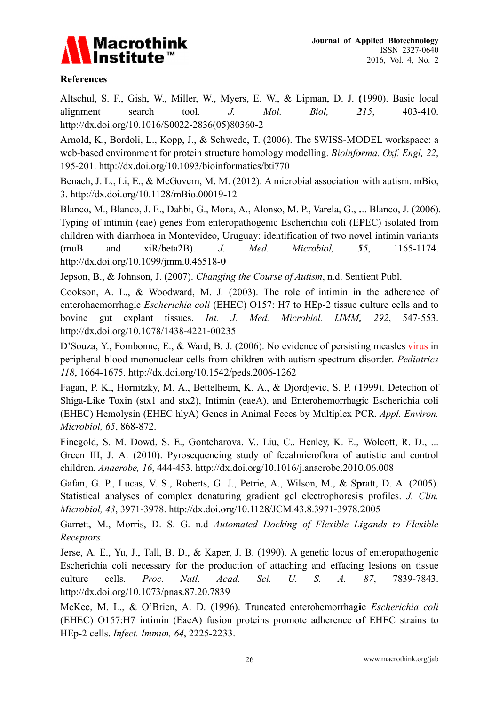

#### **References**

Altschul, S. F., Gish, W., Miller, W., Myers, E. W., & Lipman, D. J. (1990). Basic local  $215,$ search tool.  $J_{\cdot}$ Mol. Biol.  $403 - 410$ . alignment http://dx.doi.org/10.1016/S0022-2836(05)80360-2

Arnold, K., Bordoli, L., Kopp, J., & Schwede, T. (2006). The SWISS-MODEL workspace: a web-based environment for protein structure homology modelling. *Bioinforma. Oxf. Engl. 22*, 195-201. http://dx.doi.org/10.1093/bioinformatics/bti770

Benach, J. L., Li, E., & McGovern, M. M. (2012). A microbial association with autism. mBio, 3. http://dx.doi.org/10.1128/mBio.00019-12

Blanco, M., Blanco, J. E., Dahbi, G., Mora, A., Alonso, M. P., Varela, G., ... Blanco, J. (2006). Typing of intimin (eae) genes from enteropathogenic Escherichia coli (EPEC) isolated from children with diarrhoea in Montevideo, Uruguay: identification of two novel intimin variants  $(muB)$ and xiR/beta2B). J. Med. Microbiol. 55. 1165-1174. http://dx.doi.org/10.1099/jmm.0.46518-0

Jepson, B., & Johnson, J. (2007). Changing the Course of Autism, n.d. Sentient Publ.

Cookson, A. L., & Woodward, M. J. (2003). The role of intimine in the adherence of enterohaemorrhagic *Escherichia coli* (EHEC) O157: H7 to HEp-2 tissue culture cells and to explant tissues. Med. Microbiol. bovine  $\mathbf{q}$ ut  $Int.$  $J_{\cdot}$ IJMM, 292. 547-553. http://dx.doi.org/10.1078/1438-4221-00235

D'Souza, Y., Fombonne, E., & Ward, B. J. (2006). No evidence of persisting measles virus in peripheral blood mononuclear cells from children with autism spectrum disorder. Pediatrics 118, 1664-1675. http://dx.doi.org/10.1542/peds.2006-1262

Fagan, P. K., Hornitzky, M. A., Bettelheim, K. A., & Djordjevic, S. P. (1999). Detection of Shiga-Like Toxin (stx1 and stx2), Intimin (eaeA), and Enterohemorrhagic Escherichia coli (EHEC) Hemolysin (EHEC hlyA) Genes in Animal Feces by Multiplex PCR. Appl. Environ. Microbiol, 65, 868-872.

Finegold, S. M. Dowd, S. E., Gontcharova, V., Liu, C., Henley, K. E., Wolcott, R. D., ... Green III, J. A. (2010). Pyrosequencing study of fecalmicroflora of autistic and control children. Anaerobe, 16, 444-453. http://dx.doi.org/10.1016/j.anaerobe.2010.06.008

Gafan, G. P., Lucas, V. S., Roberts, G. J., Petrie, A., Wilson, M., & Spratt, D. A. (2005). Statistical analyses of complex denaturing gradient gel electrophoresis profiles. J. Clin. Microbiol, 43, 3971-3978. http://dx.doi.org/10.1128/JCM.43.8.3971-3978.2005

Garrett, M., Morris, D. S. G. n.d Automated Docking of Flexible Ligands to Flexible Receptors.

Jerse, A. E., Yu, J., Tall, B. D., & Kaper, J. B. (1990). A genetic locus of enteropathogenic Escherichia coli necessary for the production of attaching and effacing lesions on tissue cells. Proc. Natl. Acad. Sci.  $U_{\cdot}$  $S_{\cdot}$  $\overline{A}$ . 87, 7839-7843. culture http://dx.doi.org/10.1073/pnas.87.20.7839

McKee, M. L., & O'Brien, A. D. (1996). Truncated enterohemorrhagic Escherichia coli (EHEC) O157:H7 intimin (EaeA) fusion proteins promote adherence of EHEC strains to HEp-2 cells. *Infect. Immun*, 64, 2225-2233.